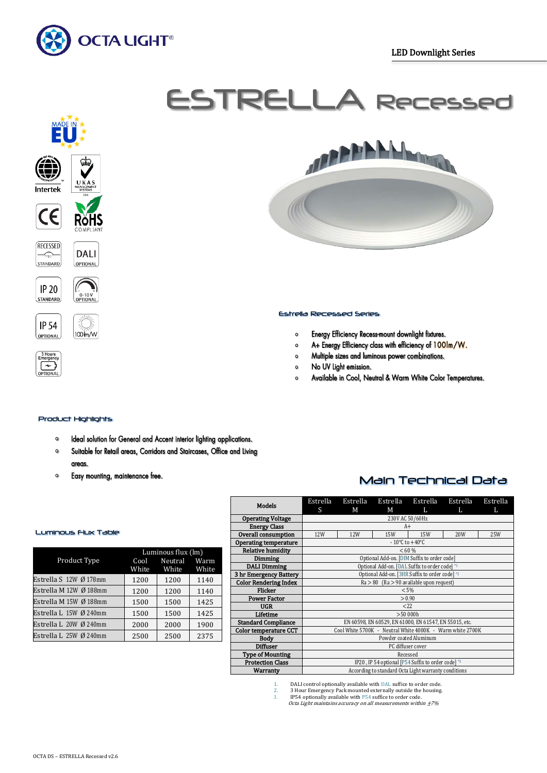

# ESTRELLA Recessed







-<br>0-10 V<br>OPTIONAI





#### Estrella Recessed Series

- Energy Efficiency Recess-mount downlight fixtures.  $\circ$
- $\bullet$ A+ Energy Efficiency class with efficiency of 100lm/W.
- Multiple sizes and luminous power combinations.  $\bullet$
- No UV Light emission.  $\circ$
- Available in Cool, Neutral & Warm White Color Temperatures.  $\circ$

### Product Highlights

- Ideal solution for General and Accent interior lighting applications.  $\bullet$
- $\bullet$ Suitable for Retail areas, Corridors and Staircases, Office and Living areas.
- $\Omega$ Easy mounting, maintenance free.

# Main Technical Data

| <b>Models</b>                | Estrella<br>S                                             | Estrella<br>М                      | Estrella<br>М | Estrella<br>L | Estrella<br>L | Estrella<br>L |  |
|------------------------------|-----------------------------------------------------------|------------------------------------|---------------|---------------|---------------|---------------|--|
| <b>Operating Voltage</b>     | 230V AC 50/60Hz                                           |                                    |               |               |               |               |  |
| <b>Energy Class</b>          |                                                           |                                    | $A+$          |               |               |               |  |
| Overall consumption          | 12W                                                       | 12W                                | <b>15W</b>    | 15W           | 20W           | <b>25W</b>    |  |
| Operating temperature        |                                                           | $-10^{\circ}$ C to $+40^{\circ}$ C |               |               |               |               |  |
| <b>Relative humidity</b>     | < 60 %                                                    |                                    |               |               |               |               |  |
| Dimming                      | Optional Add-on. [DIM Suffix to order code]               |                                    |               |               |               |               |  |
| <b>DALI Dimming</b>          | Optional Add-on. [DAL Suffix to order code] *1            |                                    |               |               |               |               |  |
| 3 hr Emergency Battery       | Optional Add-on. [3HR Suffix to order code] *2            |                                    |               |               |               |               |  |
| <b>Color Rendering Index</b> | $Ra > 80$ (Ra $> 90$ available upon request)              |                                    |               |               |               |               |  |
| Flicker                      | < 5%                                                      |                                    |               |               |               |               |  |
| <b>Power Factor</b>          | > 0.90                                                    |                                    |               |               |               |               |  |
| UGR.                         | 222                                                       |                                    |               |               |               |               |  |
| Lifetime                     | >50000h                                                   |                                    |               |               |               |               |  |
| <b>Standard Compliance</b>   | EN 60598, EN 60529, EN 61000, EN 61547, EN 55015, etc.    |                                    |               |               |               |               |  |
| <b>Color temperature CCT</b> | Cool White 5700K - Neutral White 4000K - Warm white 2700K |                                    |               |               |               |               |  |
| <b>Body</b>                  | Powder coated Aluminum                                    |                                    |               |               |               |               |  |
| <b>Diffuser</b>              | PC diffuser cover                                         |                                    |               |               |               |               |  |
| <b>Type of Mounting</b>      | Recessed                                                  |                                    |               |               |               |               |  |
| <b>Protection Class</b>      | IP20, IP 54 optional [P54 Suffix to order code] *3        |                                    |               |               |               |               |  |
| <b>Warranty</b>              | According to standard Octa Light warranty conditions      |                                    |               |               |               |               |  |

#### Luminous Flux Table

| Luminous flux (lm) |       |                       |  |  |
|--------------------|-------|-----------------------|--|--|
|                    |       | Warm<br>White         |  |  |
| 1200               | 1200  | 1140                  |  |  |
| 1200               | 1200  | 1140                  |  |  |
| 1500               | 1500  | 1425                  |  |  |
| 1500               | 1500  | 1425                  |  |  |
| 2000               | 2000  | 1900                  |  |  |
| 2500               | 2500  | 2375                  |  |  |
|                    | White | Cool Neutral<br>White |  |  |

1. DALI control optionally available with DAL suffice to order code.<br>2. 3 Hour Emergency Pack mounted externally outside the housing<br>3. IP54 optionally available with P54 suffice to order code.

Octa Light maintains accuracy on all measurements within  $\pm$ 7%